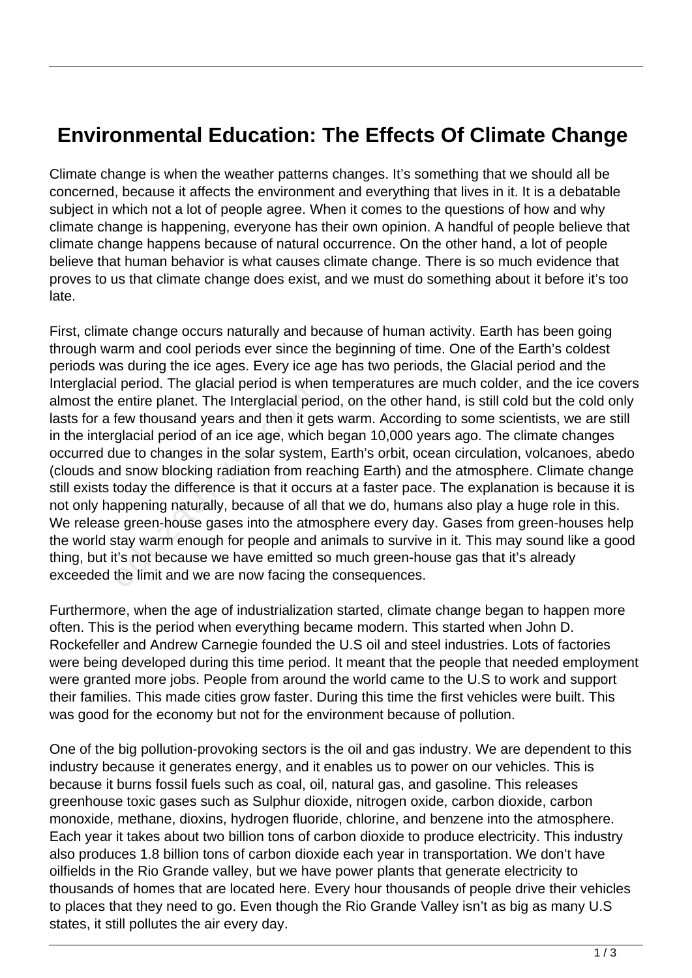## **Environmental Education: The Effects Of Climate Change**

Climate change is when the weather patterns changes. It's something that we should all be concerned, because it affects the environment and everything that lives in it. It is a debatable subject in which not a lot of people agree. When it comes to the questions of how and why climate change is happening, everyone has their own opinion. A handful of people believe that climate change happens because of natural occurrence. On the other hand, a lot of people believe that human behavior is what causes climate change. There is so much evidence that proves to us that climate change does exist, and we must do something about it before it's too late.

First, climate change occurs naturally and because of human activity. Earth has been going through warm and cool periods ever since the beginning of time. One of the Earth's coldest periods was during the ice ages. Every ice age has two periods, the Glacial period and the Interglacial period. The glacial period is when temperatures are much colder, and the ice covers almost the entire planet. The Interglacial period, on the other hand, is still cold but the cold only lasts for a few thousand years and then it gets warm. According to some scientists, we are still in the interglacial period of an ice age, which began 10,000 years ago. The climate changes occurred due to changes in the solar system, Earth's orbit, ocean circulation, volcanoes, abedo (clouds and snow blocking radiation from reaching Earth) and the atmosphere. Climate change still exists today the difference is that it occurs at a faster pace. The explanation is because it is not only happening naturally, because of all that we do, humans also play a huge role in this. We release green-house gases into the atmosphere every day. Gases from green-houses help the world stay warm enough for people and animals to survive in it. This may sound like a good thing, but it's not because we have emitted so much green-house gas that it's already exceeded the limit and we are now facing the consequences. entire planet. The Interglacial per<br>few thousand years and then it ge<br>glacial period of an ice age, which<br>lue to changes in the solar system<br>d snow blocking radiation from rea<br>today the difference is that it occu<br>appening

Furthermore, when the age of industrialization started, climate change began to happen more often. This is the period when everything became modern. This started when John D. Rockefeller and Andrew Carnegie founded the U.S oil and steel industries. Lots of factories were being developed during this time period. It meant that the people that needed employment were granted more jobs. People from around the world came to the U.S to work and support their families. This made cities grow faster. During this time the first vehicles were built. This was good for the economy but not for the environment because of pollution.

One of the big pollution-provoking sectors is the oil and gas industry. We are dependent to this industry because it generates energy, and it enables us to power on our vehicles. This is because it burns fossil fuels such as coal, oil, natural gas, and gasoline. This releases greenhouse toxic gases such as Sulphur dioxide, nitrogen oxide, carbon dioxide, carbon monoxide, methane, dioxins, hydrogen fluoride, chlorine, and benzene into the atmosphere. Each year it takes about two billion tons of carbon dioxide to produce electricity. This industry also produces 1.8 billion tons of carbon dioxide each year in transportation. We don't have oilfields in the Rio Grande valley, but we have power plants that generate electricity to thousands of homes that are located here. Every hour thousands of people drive their vehicles to places that they need to go. Even though the Rio Grande Valley isn't as big as many U.S states, it still pollutes the air every day.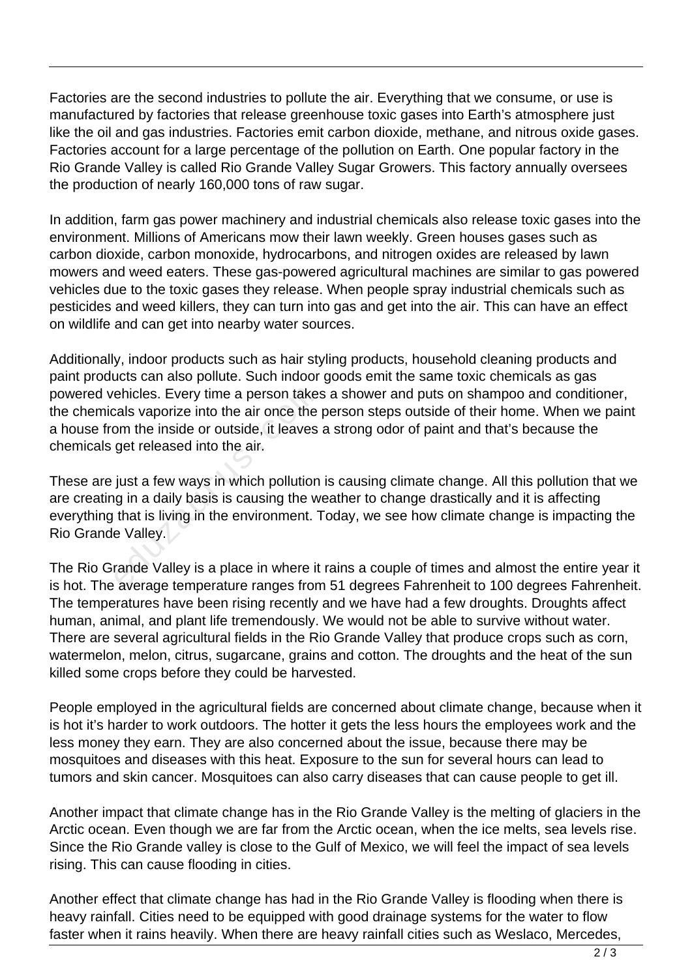Factories are the second industries to pollute the air. Everything that we consume, or use is manufactured by factories that release greenhouse toxic gases into Earth's atmosphere just like the oil and gas industries. Factories emit carbon dioxide, methane, and nitrous oxide gases. Factories account for a large percentage of the pollution on Earth. One popular factory in the Rio Grande Valley is called Rio Grande Valley Sugar Growers. This factory annually oversees the production of nearly 160,000 tons of raw sugar.

In addition, farm gas power machinery and industrial chemicals also release toxic gases into the environment. Millions of Americans mow their lawn weekly. Green houses gases such as carbon dioxide, carbon monoxide, hydrocarbons, and nitrogen oxides are released by lawn mowers and weed eaters. These gas-powered agricultural machines are similar to gas powered vehicles due to the toxic gases they release. When people spray industrial chemicals such as pesticides and weed killers, they can turn into gas and get into the air. This can have an effect on wildlife and can get into nearby water sources.

Additionally, indoor products such as hair styling products, household cleaning products and paint products can also pollute. Such indoor goods emit the same toxic chemicals as gas powered vehicles. Every time a person takes a shower and puts on shampoo and conditioner, the chemicals vaporize into the air once the person steps outside of their home. When we paint a house from the inside or outside, it leaves a strong odor of paint and that's because the chemicals get released into the air.

These are just a few ways in which pollution is causing climate change. All this pollution that we are creating in a daily basis is causing the weather to change drastically and it is affecting everything that is living in the environment. Today, we see how climate change is impacting the Rio Grande Valley. ehicles. Every time a person take:<br>cals vaporize into the air once the<br>om the inside or outside, it leaves<br>get released into the air.<br>just a few ways in which pollution<br>g in a daily basis is causing the w<br>that is living in

The Rio Grande Valley is a place in where it rains a couple of times and almost the entire year it is hot. The average temperature ranges from 51 degrees Fahrenheit to 100 degrees Fahrenheit. The temperatures have been rising recently and we have had a few droughts. Droughts affect human, animal, and plant life tremendously. We would not be able to survive without water. There are several agricultural fields in the Rio Grande Valley that produce crops such as corn, watermelon, melon, citrus, sugarcane, grains and cotton. The droughts and the heat of the sun killed some crops before they could be harvested.

People employed in the agricultural fields are concerned about climate change, because when it is hot it's harder to work outdoors. The hotter it gets the less hours the employees work and the less money they earn. They are also concerned about the issue, because there may be mosquitoes and diseases with this heat. Exposure to the sun for several hours can lead to tumors and skin cancer. Mosquitoes can also carry diseases that can cause people to get ill.

Another impact that climate change has in the Rio Grande Valley is the melting of glaciers in the Arctic ocean. Even though we are far from the Arctic ocean, when the ice melts, sea levels rise. Since the Rio Grande valley is close to the Gulf of Mexico, we will feel the impact of sea levels rising. This can cause flooding in cities.

Another effect that climate change has had in the Rio Grande Valley is flooding when there is heavy rainfall. Cities need to be equipped with good drainage systems for the water to flow faster when it rains heavily. When there are heavy rainfall cities such as Weslaco, Mercedes,